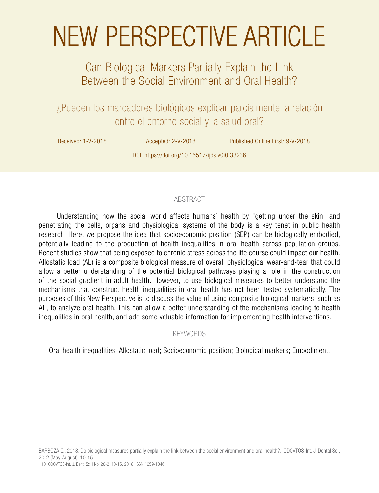# NEW PERSPECTIVE ARTICLE

# Can Biological Markers Partially Explain the Link Between the Social Environment and Oral Health?

¿Pueden los marcadores biológicos explicar parcialmente la relación entre el entorno social y la salud oral?

Received: 1-V-2018 Accepted: 2-V-2018 Published Online First: 9-V-2018

DOI: https://doi.org/10.15517/ijds.v0i0.33236

# ABSTRACT

Understanding how the social world affects humans´ health by "getting under the skin" and penetrating the cells, organs and physiological systems of the body is a key tenet in public health research. Here, we propose the idea that socioeconomic position (SEP) can be biologically embodied, potentially leading to the production of health inequalities in oral health across population groups. Recent studies show that being exposed to chronic stress across the life course could impact our health. Allostatic load (AL) is a composite biological measure of overall physiological wear-and-tear that could allow a better understanding of the potential biological pathways playing a role in the construction of the social gradient in adult health. However, to use biological measures to better understand the mechanisms that construct health inequalities in oral health has not been tested systematically. The purposes of this New Perspective is to discuss the value of using composite biological markers, such as AL, to analyze oral health. This can allow a better understanding of the mechanisms leading to health inequalities in oral health, and add some valuable information for implementing health interventions.

# KEYWORDS

Oral health inequalities; Allostatic load; Socioeconomic position; Biological markers; Embodiment.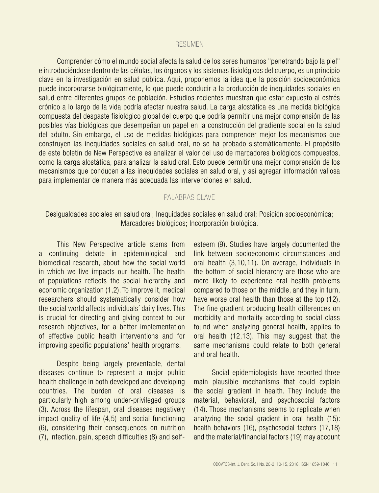#### RESUMEN

Comprender cómo el mundo social afecta la salud de los seres humanos "penetrando bajo la piel" e introduciéndose dentro de las células, los órganos y los sistemas fisiológicos del cuerpo, es un principio clave en la investigación en salud pública. Aquí, proponemos la idea que la posición socioeconómica puede incorporarse biológicamente, lo que puede conducir a la producción de inequidades sociales en salud entre diferentes grupos de población. Estudios recientes muestran que estar expuesto al estrés crónico a lo largo de la vida podría afectar nuestra salud. La carga alostática es una medida biológica compuesta del desgaste fisiológico global del cuerpo que podría permitir una mejor comprensión de las posibles vías biológicas que desempeñan un papel en la construcción del gradiente social en la salud del adulto. Sin embargo, el uso de medidas biológicas para comprender mejor los mecanismos que construyen las inequidades sociales en salud oral, no se ha probado sistemáticamente. El propósito de este boletín de New Perspective es analizar el valor del uso de marcadores biológicos compuestos, como la carga alostática, para analizar la salud oral. Esto puede permitir una mejor comprensión de los mecanismos que conducen a las inequidades sociales en salud oral, y así agregar información valiosa para implementar de manera más adecuada las intervenciones en salud.

#### PALABRAS CLAVE

### Desigualdades sociales en salud oral; Inequidades sociales en salud oral; Posición socioeconómica; Marcadores biológicos; Incorporación biológica.

This New Perspective article stems from a continuing debate in epidemiological and biomedical research, about how the social world in which we live impacts our health. The health of populations reflects the social hierarchy and economic organization (1,2). To improve it, medical researchers should systematically consider how the social world affects individuals´ daily lives. This is crucial for directing and giving context to our research objectives, for a better implementation of effective public health interventions and for improving specific populations' health programs.

Despite being largely preventable, dental diseases continue to represent a major public health challenge in both developed and developing countries. The burden of oral diseases is particularly high among under-privileged groups (3). Across the lifespan, oral diseases negatively impact quality of life (4,5) and social functioning (6), considering their consequences on nutrition (7), infection, pain, speech difficulties (8) and selfesteem (9). Studies have largely documented the link between socioeconomic circumstances and oral health (3,10,11). On average, individuals in the bottom of social hierarchy are those who are more likely to experience oral health problems compared to those on the middle, and they in turn, have worse oral health than those at the top (12). The fine gradient producing health differences on morbidity and mortality according to social class found when analyzing general health, applies to oral health (12,13). This may suggest that the same mechanisms could relate to both general and oral health.

Social epidemiologists have reported three main plausible mechanisms that could explain the social gradient in health. They include the material, behavioral, and psychosocial factors (14). Those mechanisms seems to replicate when analyzing the social gradient in oral health (15): health behaviors (16), psychosocial factors (17,18) and the material/financial factors (19) may account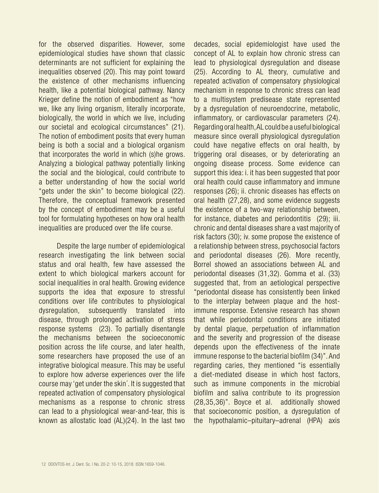for the observed disparities. However, some epidemiological studies have shown that classic determinants are not sufficient for explaining the inequalities observed (20). This may point toward the existence of other mechanisms influencing health, like a potential biological pathway. Nancy Krieger define the notion of embodiment as "how we, like any living organism, literally incorporate, biologically, the world in which we live, including our societal and ecological circumstances" (21). The notion of embodiment posits that every human being is both a social and a biological organism that incorporates the world in which (s)he grows. Analyzing a biological pathway potentially linking the social and the biological, could contribute to a better understanding of how the social world "gets under the skin" to become biological (22). Therefore, the conceptual framework presented by the concept of embodiment may be a useful tool for formulating hypotheses on how oral health inequalities are produced over the life course.

Despite the large number of epidemiological research investigating the link between social status and oral health, few have assessed the extent to which biological markers account for social inequalities in oral health. Growing evidence supports the idea that exposure to stressful conditions over life contributes to physiological dysregulation, subsequently translated into disease, through prolonged activation of stress response systems (23). To partially disentangle the mechanisms between the socioeconomic position across the life course, and later health, some researchers have proposed the use of an integrative biological measure. This may be useful to explore how adverse experiences over the life course may 'get under the skin´. It is suggested that repeated activation of compensatory physiological mechanisms as a response to chronic stress can lead to a physiological wear-and-tear, this is known as allostatic load (AL)(24). In the last two

decades, social epidemiologist have used the concept of AL to explain how chronic stress can lead to physiological dysregulation and disease (25). According to AL theory, cumulative and repeated activation of compensatory physiological mechanism in response to chronic stress can lead to a multisystem predisease state represented by a dysregulation of neuroendocrine, metabolic, inflammatory, or cardiovascular parameters (24). Regarding oral health, AL could be a useful biological measure since overall physiological dysregulation could have negative effects on oral health, by triggering oral diseases, or by deteriorating an ongoing disease process. Some evidence can support this idea: i. it has been suggested that poor oral health could cause inflammatory and immune responses (26); ii. chronic diseases has effects on oral health (27,28), and some evidence suggests the existence of a two-way relationship between, for instance, diabetes and periodontitis (29); iii. chronic and dental diseases share a vast majority of risk factors (30); iv. some propose the existence of a relationship between stress, psychosocial factors and periodontal diseases (26). More recently, Borrel showed an associations between AL and periodontal diseases (31,32). Gomma et al. (33) suggested that, from an aetiological perspective "periodontal disease has consistently been linked to the interplay between plaque and the hostimmune response. Extensive research has shown that while periodontal conditions are initiated by dental plaque, perpetuation of inflammation and the severity and progression of the disease depends upon the effectiveness of the innate immune response to the bacterial biofilm (34)". And regarding caries, they mentioned "is essentially a diet-mediated disease in which host factors, such as immune components in the microbial biofilm and saliva contribute to its progression (28,35,36)". Boyce et al. additionally showed that socioeconomic position, a dysregulation of the hypothalamic–pituitary–adrenal (HPA) axis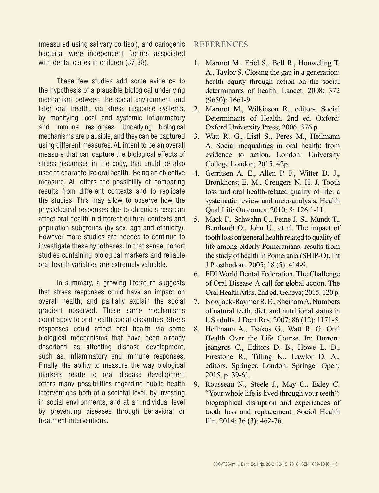(measured using salivary cortisol), and cariogenic bacteria, were independent factors associated with dental caries in children (37,38).

These few studies add some evidence to the hypothesis of a plausible biological underlying mechanism between the social environment and later oral health, via stress response systems, by modifying local and systemic inflammatory and immune responses. Underlying biological mechanisms are plausible, and they can be captured using different measures. AL intent to be an overall measure that can capture the biological effects of stress responses in the body, that could be also used to characterize oral health. Being an objective measure, AL offers the possibility of comparing results from different contexts and to replicate the studies. This may allow to observe how the physiological responses due to chronic stress can affect oral health in different cultural contexts and population subgroups (by sex, age and ethnicity). However more studies are needed to continue to investigate these hypotheses. In that sense, cohort studies containing biological markers and reliable oral health variables are extremely valuable.

In summary, a growing literature suggests that stress responses could have an impact on overall health, and partially explain the social gradient observed. These same mechanisms could apply to oral health social disparities. Stress responses could affect oral health via some biological mechanisms that have been already described as affecting disease development, such as, inflammatory and immune responses. Finally, the ability to measure the way biological markers relate to oral disease development offers many possibilities regarding public health interventions both at a societal level, by investing in social environments, and at an individual level by preventing diseases through behavioral or treatment interventions.

# REFERENCES

- 1. Marmot M., Friel S., Bell R., Houweling T. A., Taylor S. Closing the gap in a generation: health equity through action on the social determinants of health. Lancet. 2008; 372 (9650): 1661-9.
- 2. Marmot M., Wilkinson R., editors. Social Determinants of Health. 2nd ed. Oxford: Oxford University Press; 2006. 376 p.
- 3. Watt R. G., Listl S., Peres M., Heilmann A. Social inequalities in oral health: from evidence to action. London: University College London; 2015. 42p.
- 4. Gerritsen A. E., Allen P. F., Witter D. J., Bronkhorst E. M., Creugers N. H. J. Tooth loss and oral health-related quality of life: a systematic review and meta-analysis. Health Qual Life Outcomes. 2010; 8: 126:1-11.
- 5. Mack F., Schwahn C., Feine J. S., Mundt T., Bernhardt O., John U., et al. The impact of tooth loss on general health related to quality of life among elderly Pomeranians: results from the study of health in Pomerania (SHIP-O). Int J Prosthodont. 2005; 18 (5): 414-9.
- 6. FDI World Dental Federation. The Challenge of Oral Disease-A call for global action. The Oral Health Atlas. 2nd ed. Geneva; 2015. 120 p.
- 7. Nowjack-Raymer R. E., Sheiham A. Numbers of natural teeth, diet, and nutritional status in US adults. J Dent Res. 2007; 86 (12): 1171-5.
- 8. Heilmann A., Tsakos G., Watt R. G. Oral Health Over the Life Course. In: Burtonjeangros C., Editors D. B., Howe L. D., Firestone R., Tilling K., Lawlor D. A., editors. Springer. London: Springer Open; 2015. p. 39-61.
- 9. Rousseau N., Steele J., May C., Exley C. "Your whole life is lived through your teeth": biographical disruption and experiences of tooth loss and replacement. Sociol Health Illn. 2014; 36 (3): 462-76.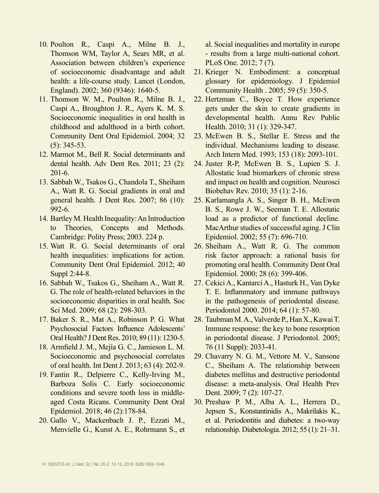- 10. Poulton R., Caspi A., Milne B. J., Thomson WM, Taylor A, Sears MR, et al. Association between children's experience of socioeconomic disadvantage and adult health: a life-course study. Lancet (London, England). 2002; 360 (9346): 1640-5.
- 11. Thomson W. M., Poulton R., Milne B. J., Caspi A., Broughton J. R., Ayers K. M. S. Socioeconomic inequalities in oral health in childhood and adulthood in a birth cohort. Community Dent Oral Epidemiol. 2004; 32 (5): 345-53.
- 12. Marmot M., Bell R. Social determinants and dental health. Adv Dent Res. 2011; 23 (2): 201-6.
- 13. Sabbah W., Tsakos G., Chandola T., Sheiham A., Watt R. G. Social gradients in oral and general health. J Dent Res. 2007; 86 (10): 992-6.
- 14. Bartley M. Health Inequality: An Introduction to Theories, Concepts and Methods. Cambridge: Polity Press; 2003. 224 p.
- 15. Watt R. G. Social determinants of oral health inequalities: implications for action. Community Dent Oral Epidemiol. 2012; 40 Suppl 2:44-8.
- 16. Sabbah W., Tsakos G., Sheiham A., Watt R. G. The role of health-related behaviors in the socioeconomic disparities in oral health. Soc Sci Med. 2009; 68 (2): 298-303.
- 17. Baker S. R., Mat A., Robinson P. G. What Psychosocial Factors Influence Adolescents' Oral Health? J Dent Res. 2010; 89 (11): 1230-5.
- 18. Armfield J. M., Mejía G. C., Jamieson L. M. Socioeconomic and psychosocial correlates of oral health. Int Dent J. 2013; 63 (4): 202-9.
- 19. Fantin R., Delpierre C., Kelly-Irving M., Barboza Solis C. Early socioeconomic conditions and severe tooth loss in middleaged Costa Ricans. Community Dent Oral Epidemiol. 2018; 46 (2):178-84.
- 20. Gallo V., Mackenbach J. P., Ezzati M., Menvielle G., Kunst A. E., Rohrmann S., et

al. Social inequalities and mortality in europe - results from a large multi-national cohort. PLoS One. 2012; 7 (7).

- 21. Krieger N. Embodiment: a conceptual glossary for epidemiology. J Epidemiol Community Health . 2005; 59 (5): 350-5.
- 22. Hertzman C., Boyce T. How experience gets under the skin to create gradients in developmental health. Annu Rev Public Health. 2010; 31 (1): 329-347.
- 23. McEwen B. S., Stellar E. Stress and the individual. Mechanisms leading to disease. Arch Intern Med. 1993; 153 (18): 2093-101.
- 24. Juster R-P, McEwen B. S., Lupien S. J. Allostatic load biomarkers of chronic stress and impact on health and cognition. Neurosci Biobehav Rev. 2010; 35 (1): 2-16.
- 25. Karlamangla A. S., Singer B. H., McEwen B. S., Rowe J. W., Seeman T. E. Allostatic load as a predictor of functional decline. MacArthur studies of successful aging. J Clin Epidemiol. 2002; 55 (7): 696-710.
- 26. Sheiham A., Watt R. G. The common risk factor approach: a rational basis for promoting oral health. Community Dent Oral Epidemiol. 2000; 28 (6): 399-406.
- 27. Cekici A., Kantarci A., Hasturk H., Van Dyke T. E. Inflammatory and immune pathways in the pathogenesis of periodontal disease. Periodontol 2000. 2014; 64 (1): 57-80.
- 28. Taubman M. A., Valverde P., Han X., Kawai T. Immune response: the key to bone resorption in periodontal disease. J Periodontol. 2005; 76 (11 Suppl): 2033-41.
- 29. Chavarry N. G. M., Vettore M. V., Sansone C., Sheiham A. The relationship between diabetes mellitus and destructive periodontal disease: a meta-analysis. Oral Health Prev Dent. 2009; 7 (2): 107-27.
- 30. Preshaw P. M., Alba A. L., Herrera D., Jepsen S., Konstantinidis A., Makrilakis K., et al. Periodontitis and diabetes: a two-way relationship. Diabetologia. 2012; 55 (1): 21–31.